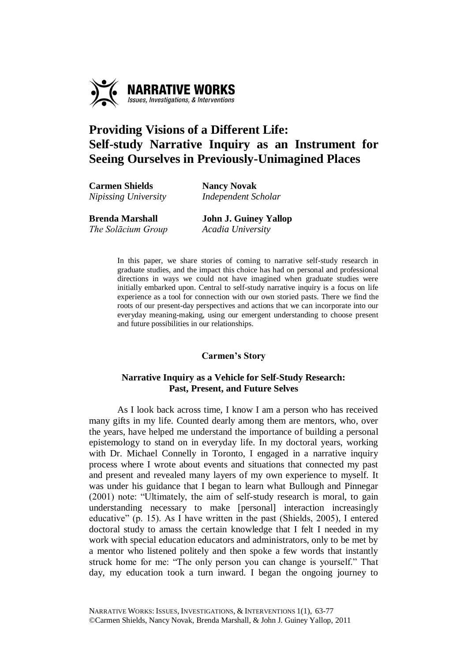

# **Providing Visions of a Different Life: Self-study Narrative Inquiry as an Instrument for Seeing Ourselves in Previously-Unimagined Places**

**Carmen Shields Nancy Novak** *Nipissing University Independent Scholar*

**Brenda Marshall John J. Guiney Yallop** *The Solācium Group Acadia University*

> In this paper, we share stories of coming to narrative self-study research in graduate studies, and the impact this choice has had on personal and professional directions in ways we could not have imagined when graduate studies were initially embarked upon. Central to self-study narrative inquiry is a focus on life experience as a tool for connection with our own storied pasts. There we find the roots of our present-day perspectives and actions that we can incorporate into our everyday meaning-making, using our emergent understanding to choose present and future possibilities in our relationships.

# **Carmen's Story**

# **Narrative Inquiry as a Vehicle for Self-Study Research: Past, Present, and Future Selves**

As I look back across time, I know I am a person who has received many gifts in my life. Counted dearly among them are mentors, who, over the years, have helped me understand the importance of building a personal epistemology to stand on in everyday life. In my doctoral years, working with Dr. Michael Connelly in Toronto, I engaged in a narrative inquiry process where I wrote about events and situations that connected my past and present and revealed many layers of my own experience to myself. It was under his guidance that I began to learn what Bullough and Pinnegar (2001) note: "Ultimately, the aim of self-study research is moral, to gain understanding necessary to make [personal] interaction increasingly educative" (p. 15). As I have written in the past (Shields, 2005), I entered doctoral study to amass the certain knowledge that I felt I needed in my work with special education educators and administrators, only to be met by a mentor who listened politely and then spoke a few words that instantly struck home for me: "The only person you can change is yourself." That day, my education took a turn inward. I began the ongoing journey to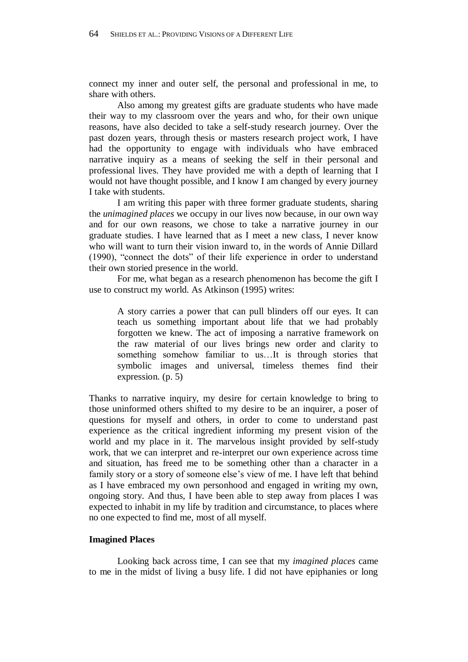connect my inner and outer self, the personal and professional in me, to share with others.

Also among my greatest gifts are graduate students who have made their way to my classroom over the years and who, for their own unique reasons, have also decided to take a self-study research journey. Over the past dozen years, through thesis or masters research project work, I have had the opportunity to engage with individuals who have embraced narrative inquiry as a means of seeking the self in their personal and professional lives. They have provided me with a depth of learning that I would not have thought possible, and I know I am changed by every journey I take with students.

I am writing this paper with three former graduate students, sharing the *unimagined places* we occupy in our lives now because, in our own way and for our own reasons, we chose to take a narrative journey in our graduate studies. I have learned that as I meet a new class, I never know who will want to turn their vision inward to, in the words of Annie Dillard (1990), "connect the dots" of their life experience in order to understand their own storied presence in the world.

For me, what began as a research phenomenon has become the gift I use to construct my world. As Atkinson (1995) writes:

A story carries a power that can pull blinders off our eyes. It can teach us something important about life that we had probably forgotten we knew. The act of imposing a narrative framework on the raw material of our lives brings new order and clarity to something somehow familiar to us…It is through stories that symbolic images and universal, timeless themes find their expression. (p. 5)

Thanks to narrative inquiry, my desire for certain knowledge to bring to those uninformed others shifted to my desire to be an inquirer, a poser of questions for myself and others, in order to come to understand past experience as the critical ingredient informing my present vision of the world and my place in it. The marvelous insight provided by self-study work, that we can interpret and re-interpret our own experience across time and situation, has freed me to be something other than a character in a family story or a story of someone else's view of me. I have left that behind as I have embraced my own personhood and engaged in writing my own, ongoing story. And thus, I have been able to step away from places I was expected to inhabit in my life by tradition and circumstance, to places where no one expected to find me, most of all myself.

## **Imagined Places**

Looking back across time, I can see that my *imagined places* came to me in the midst of living a busy life. I did not have epiphanies or long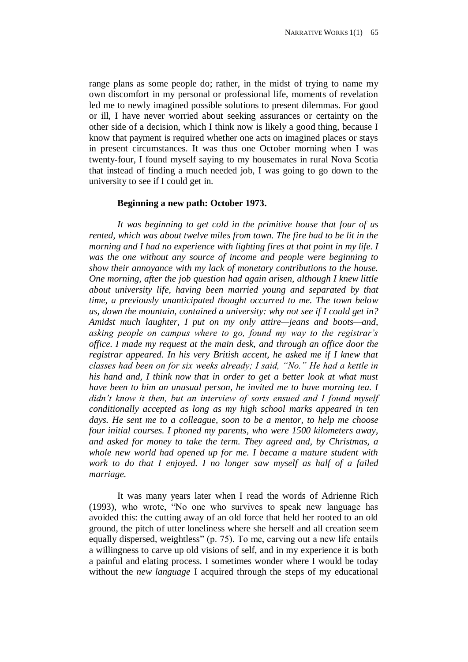range plans as some people do; rather, in the midst of trying to name my own discomfort in my personal or professional life, moments of revelation led me to newly imagined possible solutions to present dilemmas. For good or ill, I have never worried about seeking assurances or certainty on the other side of a decision, which I think now is likely a good thing, because I know that payment is required whether one acts on imagined places or stays in present circumstances. It was thus one October morning when I was twenty-four, I found myself saying to my housemates in rural Nova Scotia that instead of finding a much needed job, I was going to go down to the university to see if I could get in.

#### **Beginning a new path: October 1973.**

*It was beginning to get cold in the primitive house that four of us rented, which was about twelve miles from town. The fire had to be lit in the morning and I had no experience with lighting fires at that point in my life. I was the one without any source of income and people were beginning to show their annoyance with my lack of monetary contributions to the house. One morning, after the job question had again arisen, although I knew little about university life, having been married young and separated by that time, a previously unanticipated thought occurred to me. The town below us, down the mountain, contained a university: why not see if I could get in? Amidst much laughter, I put on my only attire—jeans and boots—and, asking people on campus where to go, found my way to the registrar's office. I made my request at the main desk, and through an office door the registrar appeared. In his very British accent, he asked me if I knew that classes had been on for six weeks already; I said, "No." He had a kettle in his hand and, I think now that in order to get a better look at what must have been to him an unusual person, he invited me to have morning tea. I didn't know it then, but an interview of sorts ensued and I found myself conditionally accepted as long as my high school marks appeared in ten days. He sent me to a colleague, soon to be a mentor, to help me choose four initial courses. I phoned my parents, who were 1500 kilometers away, and asked for money to take the term. They agreed and, by Christmas, a whole new world had opened up for me. I became a mature student with work to do that I enjoyed. I no longer saw myself as half of a failed marriage.* 

It was many years later when I read the words of Adrienne Rich (1993), who wrote, "No one who survives to speak new language has avoided this: the cutting away of an old force that held her rooted to an old ground, the pitch of utter loneliness where she herself and all creation seem equally dispersed, weightless" (p. 75). To me, carving out a new life entails a willingness to carve up old visions of self, and in my experience it is both a painful and elating process. I sometimes wonder where I would be today without the *new language* I acquired through the steps of my educational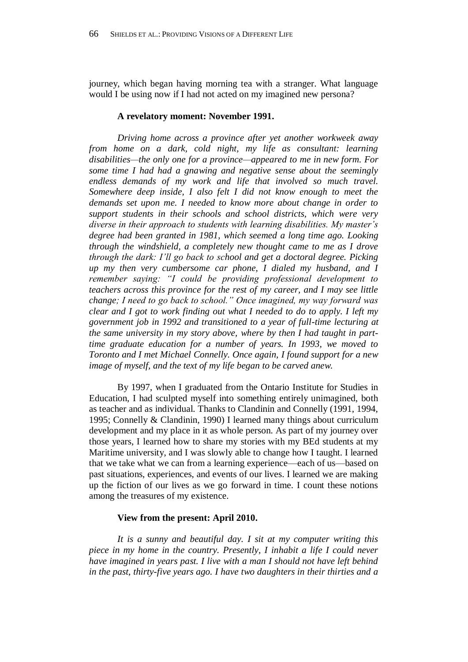journey, which began having morning tea with a stranger. What language would I be using now if I had not acted on my imagined new persona?

#### **A revelatory moment: November 1991.**

*Driving home across a province after yet another workweek away from home on a dark, cold night, my life as consultant: learning disabilities—the only one for a province—appeared to me in new form. For some time I had had a gnawing and negative sense about the seemingly endless demands of my work and life that involved so much travel. Somewhere deep inside, I also felt I did not know enough to meet the demands set upon me. I needed to know more about change in order to support students in their schools and school districts, which were very diverse in their approach to students with learning disabilities. My master's degree had been granted in 1981, which seemed a long time ago. Looking through the windshield, a completely new thought came to me as I drove through the dark: I'll go back to school and get a doctoral degree. Picking up my then very cumbersome car phone, I dialed my husband, and I remember saying: "I could be providing professional development to teachers across this province for the rest of my career, and I may see little change; I need to go back to school." Once imagined, my way forward was clear and I got to work finding out what I needed to do to apply. I left my government job in 1992 and transitioned to a year of full-time lecturing at the same university in my story above, where by then I had taught in parttime graduate education for a number of years. In 1993, we moved to Toronto and I met Michael Connelly. Once again, I found support for a new image of myself, and the text of my life began to be carved anew.*

By 1997, when I graduated from the Ontario Institute for Studies in Education, I had sculpted myself into something entirely unimagined, both as teacher and as individual. Thanks to Clandinin and Connelly (1991, 1994, 1995; Connelly & Clandinin, 1990) I learned many things about curriculum development and my place in it as whole person. As part of my journey over those years, I learned how to share my stories with my BEd students at my Maritime university, and I was slowly able to change how I taught. I learned that we take what we can from a learning experience—each of us—based on past situations, experiences, and events of our lives. I learned we are making up the fiction of our lives as we go forward in time. I count these notions among the treasures of my existence.

#### **View from the present: April 2010.**

*It is a sunny and beautiful day. I sit at my computer writing this piece in my home in the country. Presently, I inhabit a life I could never have imagined in years past. I live with a man I should not have left behind in the past, thirty-five years ago. I have two daughters in their thirties and a*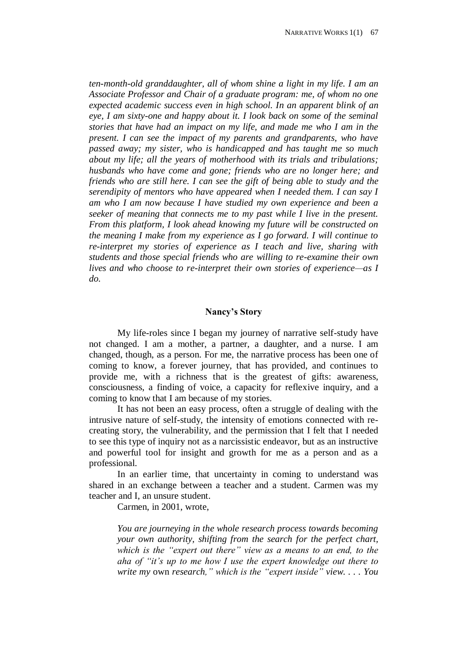*ten-month-old granddaughter, all of whom shine a light in my life. I am an Associate Professor and Chair of a graduate program: me, of whom no one expected academic success even in high school. In an apparent blink of an eye, I am sixty-one and happy about it. I look back on some of the seminal stories that have had an impact on my life, and made me who I am in the present. I can see the impact of my parents and grandparents, who have passed away; my sister, who is handicapped and has taught me so much about my life; all the years of motherhood with its trials and tribulations; husbands who have come and gone; friends who are no longer here; and friends who are still here. I can see the gift of being able to study and the serendipity of mentors who have appeared when I needed them. I can say I am who I am now because I have studied my own experience and been a seeker of meaning that connects me to my past while I live in the present. From this platform, I look ahead knowing my future will be constructed on the meaning I make from my experience as I go forward. I will continue to re-interpret my stories of experience as I teach and live, sharing with students and those special friends who are willing to re-examine their own lives and who choose to re-interpret their own stories of experience—as I do.*

#### **Nancy's Story**

My life-roles since I began my journey of narrative self-study have not changed. I am a mother, a partner, a daughter, and a nurse. I am changed, though, as a person. For me, the narrative process has been one of coming to know, a forever journey, that has provided, and continues to provide me, with a richness that is the greatest of gifts: awareness, consciousness, a finding of voice, a capacity for reflexive inquiry, and a coming to know that I am because of my stories.

It has not been an easy process, often a struggle of dealing with the intrusive nature of self-study, the intensity of emotions connected with recreating story, the vulnerability, and the permission that I felt that I needed to see this type of inquiry not as a narcissistic endeavor, but as an instructive and powerful tool for insight and growth for me as a person and as a professional.

In an earlier time, that uncertainty in coming to understand was shared in an exchange between a teacher and a student. Carmen was my teacher and I, an unsure student.

Carmen, in 2001, wrote,

*You are journeying in the whole research process towards becoming your own authority, shifting from the search for the perfect chart, which is the "expert out there" view as a means to an end, to the aha of "it's up to me how I use the expert knowledge out there to write my* own *research," which is the "expert inside" view. . . . You*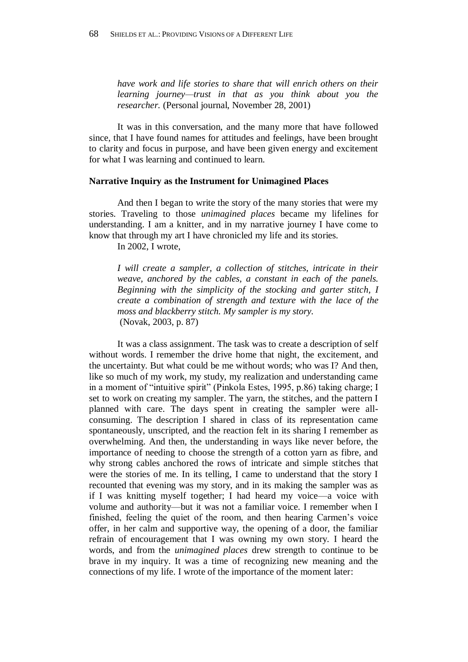*have work and life stories to share that will enrich others on their learning journey—trust in that as you think about you the researcher.* (Personal journal, November 28, 2001)

It was in this conversation, and the many more that have followed since, that I have found names for attitudes and feelings, have been brought to clarity and focus in purpose, and have been given energy and excitement for what I was learning and continued to learn.

#### **Narrative Inquiry as the Instrument for Unimagined Places**

And then I began to write the story of the many stories that were my stories. Traveling to those *unimagined places* became my lifelines for understanding. I am a knitter, and in my narrative journey I have come to know that through my art I have chronicled my life and its stories.

In 2002, I wrote,

*I will create a sampler, a collection of stitches, intricate in their weave, anchored by the cables, a constant in each of the panels. Beginning with the simplicity of the stocking and garter stitch, I create a combination of strength and texture with the lace of the moss and blackberry stitch. My sampler is my story.* (Novak, 2003, p. 87)

It was a class assignment. The task was to create a description of self without words. I remember the drive home that night, the excitement, and the uncertainty. But what could be me without words; who was I? And then, like so much of my work, my study, my realization and understanding came in a moment of "intuitive spirit" (Pinkola Estes, 1995, p.86) taking charge; I set to work on creating my sampler. The yarn, the stitches, and the pattern I planned with care. The days spent in creating the sampler were allconsuming. The description I shared in class of its representation came spontaneously, unscripted, and the reaction felt in its sharing I remember as overwhelming. And then, the understanding in ways like never before, the importance of needing to choose the strength of a cotton yarn as fibre, and why strong cables anchored the rows of intricate and simple stitches that were the stories of me. In its telling, I came to understand that the story I recounted that evening was my story, and in its making the sampler was as if I was knitting myself together; I had heard my voice—a voice with volume and authority—but it was not a familiar voice. I remember when I finished, feeling the quiet of the room, and then hearing Carmen's voice offer, in her calm and supportive way, the opening of a door, the familiar refrain of encouragement that I was owning my own story. I heard the words, and from the *unimagined places* drew strength to continue to be brave in my inquiry. It was a time of recognizing new meaning and the connections of my life. I wrote of the importance of the moment later: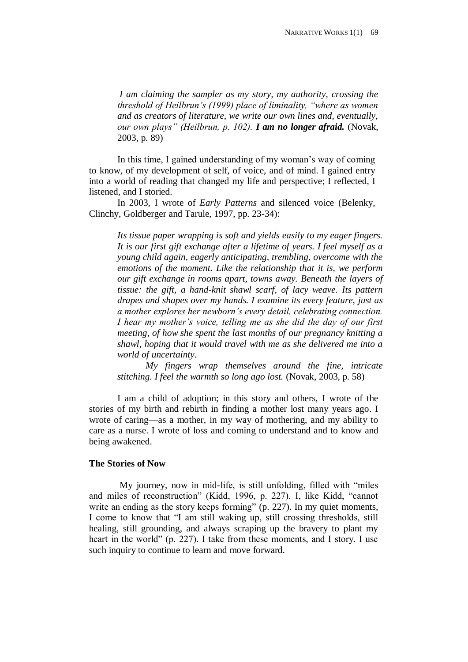*I am claiming the sampler as my story, my authority, crossing the threshold of Heilbrun's (1999) place of liminality, "where as women and as creators of literature, we write our own lines and, eventually, our own plays" (Heilbrun, p. 102). I am no longer afraid.* (Novak, 2003, p. 89)

In this time, I gained understanding of my woman's way of coming to know, of my development of self, of voice, and of mind. I gained entry into a world of reading that changed my life and perspective; I reflected, I listened, and I storied.

In 2003, I wrote of *Early Patterns* and silenced voice (Belenky, Clinchy, Goldberger and Tarule, 1997, pp. 23-34):

*Its tissue paper wrapping is soft and yields easily to my eager fingers. It is our first gift exchange after a lifetime of years. I feel myself as a young child again, eagerly anticipating, trembling, overcome with the emotions of the moment. Like the relationship that it is, we perform our gift exchange in rooms apart, towns away. Beneath the layers of tissue: the gift, a hand-knit shawl scarf, of lacy weave. Its pattern drapes and shapes over my hands. I examine its every feature, just as a mother explores her newborn's every detail, celebrating connection. I hear my mother's voice, telling me as she did the day of our first meeting, of how she spent the last months of our pregnancy knitting a shawl, hoping that it would travel with me as she delivered me into a world of uncertainty.*

*My fingers wrap themselves around the fine, intricate stitching. I feel the warmth so long ago lost.* (Novak, 2003, p. 58)

I am a child of adoption; in this story and others, I wrote of the stories of my birth and rebirth in finding a mother lost many years ago. I wrote of caring—as a mother, in my way of mothering, and my ability to care as a nurse. I wrote of loss and coming to understand and to know and being awakened.

# **The Stories of Now**

My journey, now in mid-life, is still unfolding, filled with "miles and miles of reconstruction" (Kidd, 1996, p. 227). I, like Kidd, "cannot write an ending as the story keeps forming" (p. 227). In my quiet moments, I come to know that "I am still waking up, still crossing thresholds, still healing, still grounding, and always scraping up the bravery to plant my heart in the world" (p. 227). I take from these moments, and I story. I use such inquiry to continue to learn and move forward.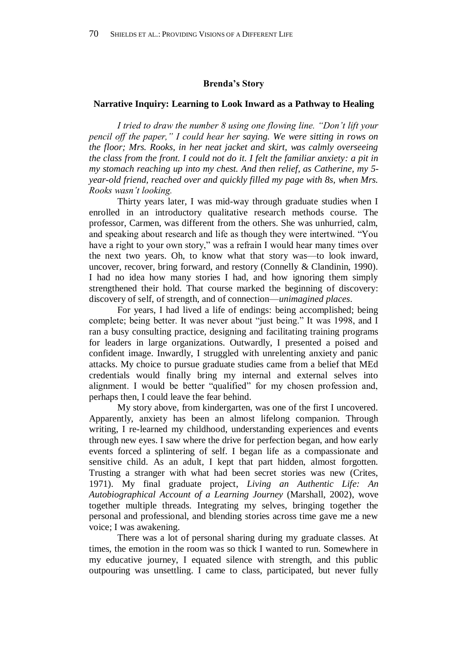#### **Brenda's Story**

## **Narrative Inquiry: Learning to Look Inward as a Pathway to Healing**

*I tried to draw the number 8 using one flowing line. "Don't lift your pencil off the paper," I could hear her saying. We were sitting in rows on the floor; Mrs. Rooks, in her neat jacket and skirt, was calmly overseeing the class from the front. I could not do it. I felt the familiar anxiety: a pit in my stomach reaching up into my chest. And then relief, as Catherine, my 5 year-old friend, reached over and quickly filled my page with 8s, when Mrs. Rooks wasn't looking.*

Thirty years later, I was mid-way through graduate studies when I enrolled in an introductory qualitative research methods course. The professor, Carmen, was different from the others. She was unhurried, calm, and speaking about research and life as though they were intertwined. "You have a right to your own story," was a refrain I would hear many times over the next two years. Oh, to know what that story was—to look inward, uncover, recover, bring forward, and restory (Connelly & Clandinin, 1990). I had no idea how many stories I had, and how ignoring them simply strengthened their hold. That course marked the beginning of discovery: discovery of self, of strength, and of connection—*unimagined places*.

For years, I had lived a life of endings: being accomplished; being complete; being better. It was never about "just being." It was 1998, and I ran a busy consulting practice, designing and facilitating training programs for leaders in large organizations. Outwardly, I presented a poised and confident image. Inwardly, I struggled with unrelenting anxiety and panic attacks. My choice to pursue graduate studies came from a belief that MEd credentials would finally bring my internal and external selves into alignment. I would be better "qualified" for my chosen profession and, perhaps then, I could leave the fear behind.

My story above, from kindergarten, was one of the first I uncovered. Apparently, anxiety has been an almost lifelong companion. Through writing, I re-learned my childhood, understanding experiences and events through new eyes. I saw where the drive for perfection began, and how early events forced a splintering of self. I began life as a compassionate and sensitive child. As an adult, I kept that part hidden, almost forgotten. Trusting a stranger with what had been secret stories was new (Crites, 1971). My final graduate project, *Living an Authentic Life: An Autobiographical Account of a Learning Journey* (Marshall, 2002), wove together multiple threads. Integrating my selves, bringing together the personal and professional, and blending stories across time gave me a new voice; I was awakening.

There was a lot of personal sharing during my graduate classes. At times, the emotion in the room was so thick I wanted to run. Somewhere in my educative journey, I equated silence with strength, and this public outpouring was unsettling. I came to class, participated, but never fully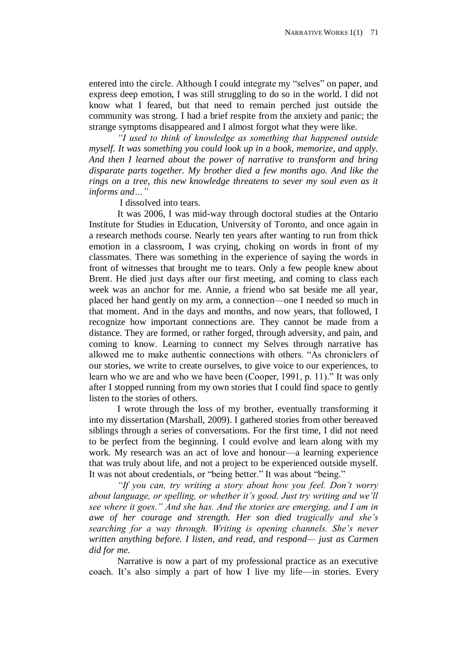entered into the circle. Although I could integrate my "selves" on paper, and express deep emotion, I was still struggling to do so in the world. I did not know what I feared, but that need to remain perched just outside the community was strong. I had a brief respite from the anxiety and panic; the strange symptoms disappeared and I almost forgot what they were like.

*"I used to think of knowledge as something that happened outside myself. It was something you could look up in a book, memorize, and apply. And then I learned about the power of narrative to transform and bring disparate parts together. My brother died a few months ago. And like the rings on a tree, this new knowledge threatens to sever my soul even as it informs and…"* 

I dissolved into tears.

It was 2006, I was mid-way through doctoral studies at the Ontario Institute for Studies in Education, University of Toronto, and once again in a research methods course. Nearly ten years after wanting to run from thick emotion in a classroom, I was crying, choking on words in front of my classmates. There was something in the experience of saying the words in front of witnesses that brought me to tears. Only a few people knew about Brent. He died just days after our first meeting, and coming to class each week was an anchor for me. Annie, a friend who sat beside me all year, placed her hand gently on my arm, a connection—one I needed so much in that moment. And in the days and months, and now years, that followed, I recognize how important connections are. They cannot be made from a distance. They are formed, or rather forged, through adversity, and pain, and coming to know. Learning to connect my Selves through narrative has allowed me to make authentic connections with others. "As chroniclers of our stories, we write to create ourselves, to give voice to our experiences, to learn who we are and who we have been (Cooper, 1991, p. 11)." It was only after I stopped running from my own stories that I could find space to gently listen to the stories of others.

I wrote through the loss of my brother, eventually transforming it into my dissertation (Marshall, 2009). I gathered stories from other bereaved siblings through a series of conversations. For the first time, I did not need to be perfect from the beginning. I could evolve and learn along with my work. My research was an act of love and honour—a learning experience that was truly about life, and not a project to be experienced outside myself. It was not about credentials, or "being better." It was about "being."

*"If you can, try writing a story about how you feel. Don't worry about language, or spelling, or whether it's good. Just try writing and we'll see where it goes." And she has. And the stories are emerging, and I am in awe of her courage and strength. Her son died tragically and she's searching for a way through. Writing is opening channels. She's never written anything before. I listen, and read, and respond— just as Carmen did for me.*

Narrative is now a part of my professional practice as an executive coach. It's also simply a part of how I live my life—in stories. Every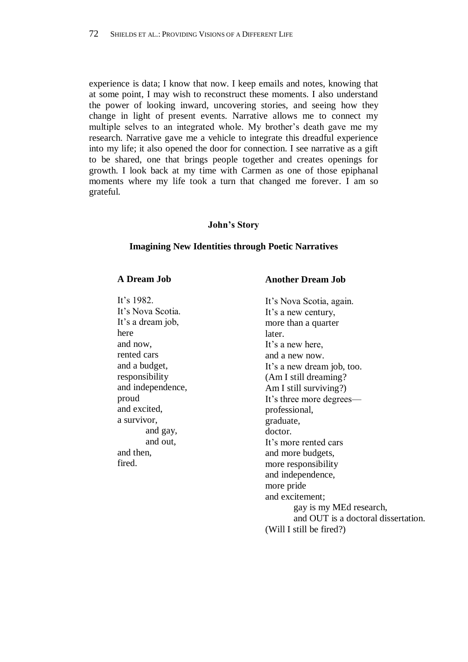experience is data; I know that now. I keep emails and notes, knowing that at some point, I may wish to reconstruct these moments. I also understand the power of looking inward, uncovering stories, and seeing how they change in light of present events. Narrative allows me to connect my multiple selves to an integrated whole. My brother's death gave me my research. Narrative gave me a vehicle to integrate this dreadful experience into my life; it also opened the door for connection. I see narrative as a gift to be shared, one that brings people together and creates openings for growth. I look back at my time with Carmen as one of those epiphanal moments where my life took a turn that changed me forever. I am so grateful.

# **John's Story**

#### **Imagining New Identities through Poetic Narratives**

## **A Dream Job**

It's 1982. It's Nova Scotia. It's a dream job, here and now, rented cars and a budget, responsibility and independence, proud and excited, a survivor, and gay, and out, and then, fired.

#### **Another Dream Job**

It's Nova Scotia, again. It's a new century, more than a quarter later. It's a new here, and a new now. It's a new dream job, too. (Am I still dreaming? Am I still surviving?) It's three more degrees professional, graduate, doctor. It's more rented cars and more budgets, more responsibility and independence, more pride and excitement; gay is my MEd research, and OUT is a doctoral dissertation. (Will I still be fired?)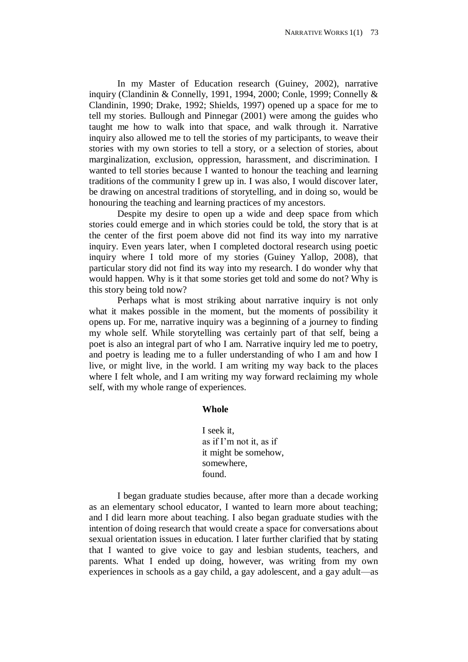In my Master of Education research (Guiney, 2002), narrative inquiry (Clandinin & Connelly, 1991, 1994, 2000; Conle, 1999; Connelly & Clandinin, 1990; Drake, 1992; Shields, 1997) opened up a space for me to tell my stories. Bullough and Pinnegar (2001) were among the guides who taught me how to walk into that space, and walk through it. Narrative inquiry also allowed me to tell the stories of my participants, to weave their stories with my own stories to tell a story, or a selection of stories, about marginalization, exclusion, oppression, harassment, and discrimination. I wanted to tell stories because I wanted to honour the teaching and learning traditions of the community I grew up in. I was also, I would discover later, be drawing on ancestral traditions of storytelling, and in doing so, would be honouring the teaching and learning practices of my ancestors.

Despite my desire to open up a wide and deep space from which stories could emerge and in which stories could be told, the story that is at the center of the first poem above did not find its way into my narrative inquiry. Even years later, when I completed doctoral research using poetic inquiry where I told more of my stories (Guiney Yallop, 2008), that particular story did not find its way into my research. I do wonder why that would happen. Why is it that some stories get told and some do not? Why is this story being told now?

Perhaps what is most striking about narrative inquiry is not only what it makes possible in the moment, but the moments of possibility it opens up. For me, narrative inquiry was a beginning of a journey to finding my whole self. While storytelling was certainly part of that self, being a poet is also an integral part of who I am. Narrative inquiry led me to poetry, and poetry is leading me to a fuller understanding of who I am and how I live, or might live, in the world. I am writing my way back to the places where I felt whole, and I am writing my way forward reclaiming my whole self, with my whole range of experiences.

#### **Whole**

I seek it, as if I'm not it, as if it might be somehow, somewhere, found.

I began graduate studies because, after more than a decade working as an elementary school educator, I wanted to learn more about teaching; and I did learn more about teaching. I also began graduate studies with the intention of doing research that would create a space for conversations about sexual orientation issues in education. I later further clarified that by stating that I wanted to give voice to gay and lesbian students, teachers, and parents. What I ended up doing, however, was writing from my own experiences in schools as a gay child, a gay adolescent, and a gay adult—as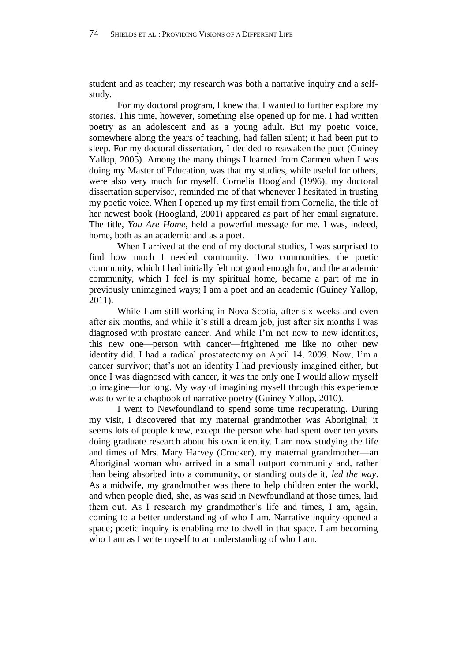student and as teacher; my research was both a narrative inquiry and a selfstudy.

For my doctoral program, I knew that I wanted to further explore my stories. This time, however, something else opened up for me. I had written poetry as an adolescent and as a young adult. But my poetic voice, somewhere along the years of teaching, had fallen silent; it had been put to sleep. For my doctoral dissertation, I decided to reawaken the poet (Guiney Yallop, 2005). Among the many things I learned from Carmen when I was doing my Master of Education, was that my studies, while useful for others, were also very much for myself. Cornelia Hoogland (1996), my doctoral dissertation supervisor, reminded me of that whenever I hesitated in trusting my poetic voice. When I opened up my first email from Cornelia, the title of her newest book (Hoogland, 2001) appeared as part of her email signature. The title, *You Are Home*, held a powerful message for me. I was, indeed, home, both as an academic and as a poet.

When I arrived at the end of my doctoral studies, I was surprised to find how much I needed community. Two communities, the poetic community, which I had initially felt not good enough for, and the academic community, which I feel is my spiritual home, became a part of me in previously unimagined ways; I am a poet and an academic (Guiney Yallop, 2011).

While I am still working in Nova Scotia, after six weeks and even after six months, and while it's still a dream job, just after six months I was diagnosed with prostate cancer. And while I'm not new to new identities, this new one—person with cancer—frightened me like no other new identity did. I had a radical prostatectomy on April 14, 2009. Now, I'm a cancer survivor; that's not an identity I had previously imagined either, but once I was diagnosed with cancer, it was the only one I would allow myself to imagine—for long. My way of imagining myself through this experience was to write a chapbook of narrative poetry (Guiney Yallop, 2010).

I went to Newfoundland to spend some time recuperating. During my visit, I discovered that my maternal grandmother was Aboriginal; it seems lots of people knew, except the person who had spent over ten years doing graduate research about his own identity. I am now studying the life and times of Mrs. Mary Harvey (Crocker), my maternal grandmother—an Aboriginal woman who arrived in a small outport community and, rather than being absorbed into a community, or standing outside it, *led the way*. As a midwife, my grandmother was there to help children enter the world, and when people died, she, as was said in Newfoundland at those times, laid them out. As I research my grandmother's life and times, I am, again, coming to a better understanding of who I am. Narrative inquiry opened a space; poetic inquiry is enabling me to dwell in that space. I am becoming who I am as I write myself to an understanding of who I am.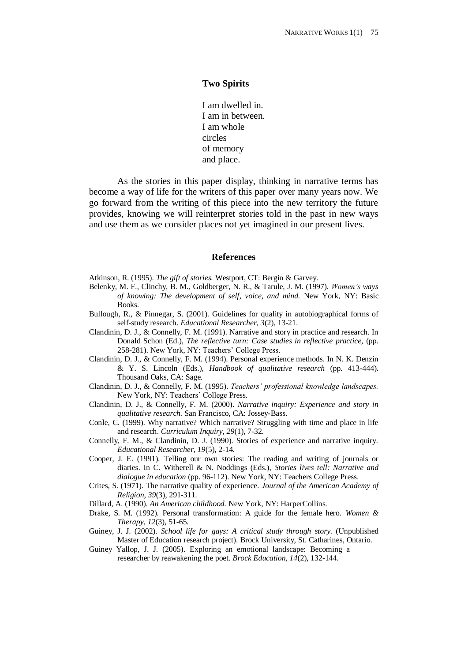# **Two Spirits**

I am dwelled in. I am in between. I am whole circles of memory and place.

As the stories in this paper display, thinking in narrative terms has become a way of life for the writers of this paper over many years now. We go forward from the writing of this piece into the new territory the future provides, knowing we will reinterpret stories told in the past in new ways and use them as we consider places not yet imagined in our present lives.

#### **References**

Atkinson, R. (1995). *The gift of stories.* Westport, CT: Bergin & Garvey.

- Belenky, M. F., Clinchy, B. M., Goldberger, N. R., & Tarule, J. M. (1997). *Women's ways of knowing: The development of self, voice, and mind.* New York, NY: Basic Books.
- Bullough, R., & Pinnegar, S. (2001). Guidelines for quality in autobiographical forms of self-study research. *Educational Researcher, 3*(2), 13-21.
- Clandinin, D. J., & Connelly, F. M. (1991). Narrative and story in practice and research. In Donald Schon (Ed.), *The reflective turn: Case studies in reflective practice,* (pp. 258-281). New York, NY: Teachers' College Press.
- Clandinin, D. J., & Connelly, F. M. (1994). Personal experience methods. In N. K. Denzin & Y. S. Lincoln (Eds.), *Handbook of qualitative research* (pp. 413-444). Thousand Oaks, CA: Sage.
- Clandinin, D. J., & Connelly, F. M. (1995). *Teachers' professional knowledge landscapes.*  New York, NY: Teachers' College Press.
- Clandinin, D. J., & Connelly, F. M. (2000). *Narrative inquiry: Experience and story in qualitative research.* San Francisco, CA: Jossey-Bass.
- Conle, C. (1999). Why narrative? Which narrative? Struggling with time and place in life and research. *Curriculum Inquiry, 29*(1), 7-32.
- Connelly, F. M., & Clandinin, D. J. (1990). Stories of experience and narrative inquiry. *Educational Researcher, 19*(5), 2-14.
- Cooper, J. E. (1991). Telling our own stories: The reading and writing of journals or diaries. In C. Witherell & N. Noddings (Eds.), *Stories lives tell: Narrative and dialogue in education* (pp. 96-112). New York, NY: Teachers College Press.
- Crites, S. (1971). The narrative quality of experience. *Journal of the American Academy of Religion, 39*(3), 291-311.
- Dillard, A. (1990). *An American childhood.* New York, NY: HarperCollins.
- Drake, S. M. (1992). Personal transformation: A guide for the female hero. *Women & Therapy, 12*(3), 51-65.
- Guiney, J. J. (2002). *School life for gays: A critical study through story.* (Unpublished Master of Education research project). Brock University, St. Catharines, Ontario.
- Guiney Yallop, J. J. (2005). Exploring an emotional landscape: Becoming a researcher by reawakening the poet. *Brock Education, 14*(2), 132-144.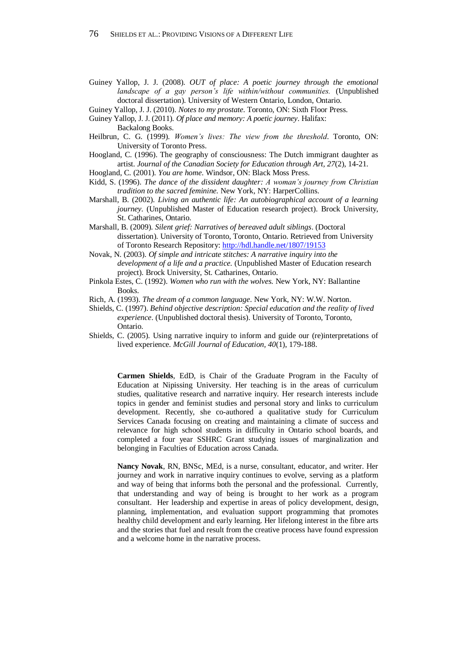- Guiney Yallop, J. J. (2008). *OUT of place: A poetic journey through the emotional landscape of a gay person's life within/without communities.* (Unpublished doctoral dissertation). University of Western Ontario, London, Ontario.
- Guiney Yallop, J. J. (2010). *Notes to my prostate*. Toronto, ON: Sixth Floor Press.
- Guiney Yallop, J. J. (2011). *Of place and memory: A poetic journey*. Halifax: Backalong Books.
- Heilbrun, C. G. (1999). *Women's lives: The view from the threshold*. Toronto, ON: University of Toronto Press.
- Hoogland, C. (1996). The geography of consciousness: The Dutch immigrant daughter as artist. *Journal of the Canadian Society for Education through Art, 27*(2), 14-21.
- Hoogland, C. (2001). *You are home*. Windsor, ON: Black Moss Press.
- Kidd, S. (1996). *The dance of the dissident daughter: A woman's journey from Christian tradition to the sacred feminine.* New York, NY: HarperCollins.
- Marshall, B. (2002). *Living an authentic life: An autobiographical account of a learning journey.* (Unpublished Master of Education research project). Brock University, St. Catharines, Ontario.
- Marshall, B. (2009). *Silent grief: Narratives of bereaved adult siblings*. (Doctoral dissertation). University of Toronto, Toronto, Ontario. Retrieved from University of Toronto Research Repository: <http://hdl.handle.net/1807/19153>
- Novak, N. (2003). *Of simple and intricate stitches: A narrative inquiry into the development of a life and a practice.* (Unpublished Master of Education research project). Brock University, St. Catharines, Ontario.
- Pinkola Estes, C. (1992). *Women who run with the wolves.* New York, NY: Ballantine Books.
- Rich, A. (1993). *The dream of a common language*. New York, NY: W.W. Norton.
- Shields, C. (1997). *Behind objective description: Special education and the reality of lived experience*. (Unpublished doctoral thesis). University of Toronto, Toronto, Ontario.
- Shields, C. (2005). Using narrative inquiry to inform and guide our (re)interpretations of lived experience. *McGill Journal of Education, 40*(1), 179-188.

**Carmen Shields**, EdD, is Chair of the Graduate Program in the Faculty of Education at Nipissing University. Her teaching is in the areas of curriculum studies, qualitative research and narrative inquiry. Her research interests include topics in gender and feminist studies and personal story and links to curriculum development. Recently, she co-authored a qualitative study for Curriculum Services Canada focusing on creating and maintaining a climate of success and relevance for high school students in difficulty in Ontario school boards, and completed a four year SSHRC Grant studying issues of marginalization and belonging in Faculties of Education across Canada.

**Nancy Novak**, RN, BNSc, MEd, is a nurse, consultant, educator, and writer. Her journey and work in narrative inquiry continues to evolve, serving as a platform and way of being that informs both the personal and the professional. Currently, that understanding and way of being is brought to her work as a program consultant. Her leadership and expertise in areas of policy development, design, planning, implementation, and evaluation support programming that promotes healthy child development and early learning. Her lifelong interest in the fibre arts and the stories that fuel and result from the creative process have found expression and a welcome home in the narrative process.